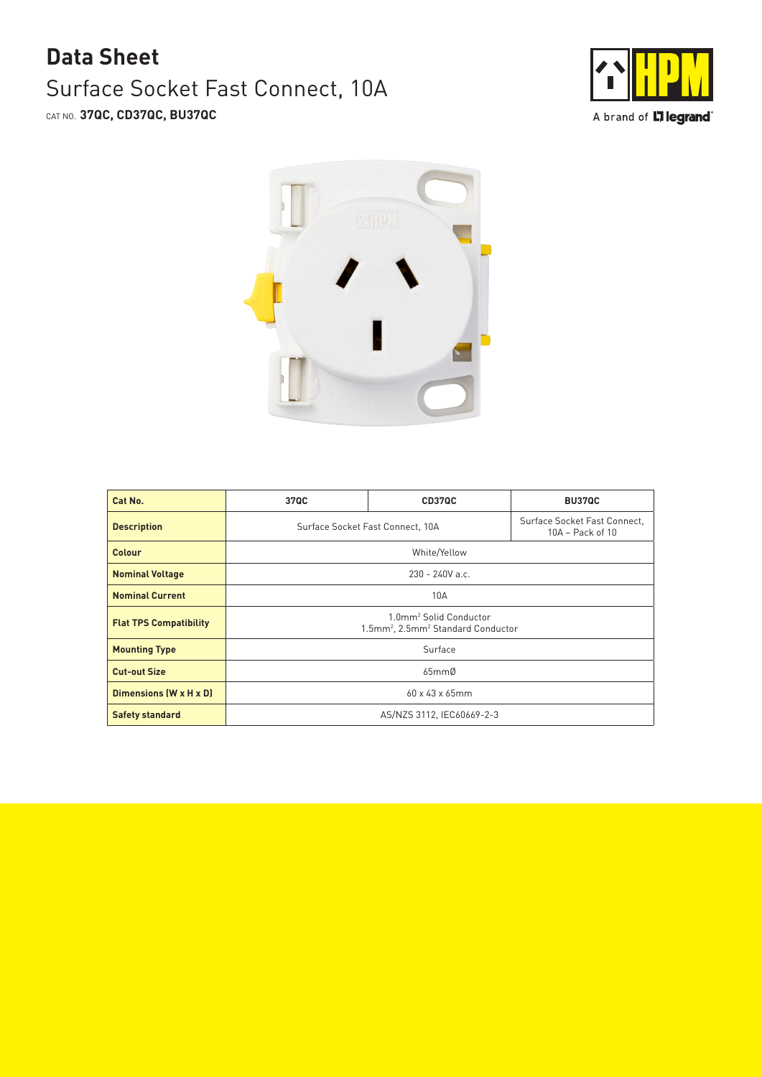## Surface Socket Fast Connect, 10A CAT NO. **37QC, CD37QC, BU37QC Data Sheet**





| Cat No.                       | 37QC                                                                                             | CD37QC | <b>BU37QC</b>                                    |
|-------------------------------|--------------------------------------------------------------------------------------------------|--------|--------------------------------------------------|
| <b>Description</b>            | Surface Socket Fast Connect, 10A                                                                 |        | Surface Socket Fast Connect,<br>10A - Pack of 10 |
| Colour                        | White/Yellow                                                                                     |        |                                                  |
| <b>Nominal Voltage</b>        | $230 - 240V$ a.c.                                                                                |        |                                                  |
| <b>Nominal Current</b>        | 10A                                                                                              |        |                                                  |
| <b>Flat TPS Compatibility</b> | 1.0mm <sup>2</sup> Solid Conductor<br>1.5mm <sup>2</sup> , 2.5mm <sup>2</sup> Standard Conductor |        |                                                  |
| <b>Mounting Type</b>          | Surface                                                                                          |        |                                                  |
| <b>Cut-out Size</b>           | 65mmØ                                                                                            |        |                                                  |
| Dimensions (W x H x D)        | $60 \times 43 \times 65$ mm                                                                      |        |                                                  |
| <b>Safety standard</b>        | AS/NZS 3112, IEC60669-2-3                                                                        |        |                                                  |